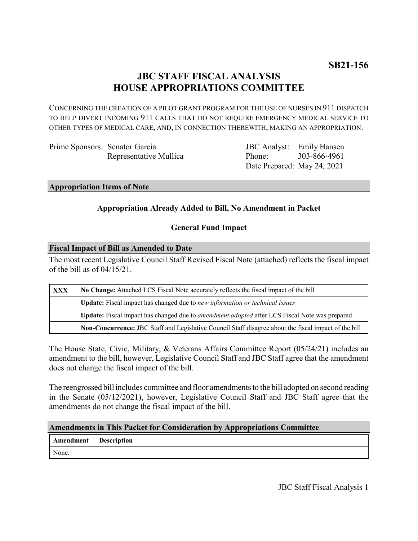# **JBC STAFF FISCAL ANALYSIS HOUSE APPROPRIATIONS COMMITTEE**

CONCERNING THE CREATION OF A PILOT GRANT PROGRAM FOR THE USE OF NURSES IN 911 DISPATCH TO HELP DIVERT INCOMING 911 CALLS THAT DO NOT REQUIRE EMERGENCY MEDICAL SERVICE TO OTHER TYPES OF MEDICAL CARE, AND, IN CONNECTION THEREWITH, MAKING AN APPROPRIATION.

Prime Sponsors: Senator Garcia Representative Mullica

JBC Analyst: Emily Hansen Phone: Date Prepared: May 24, 2021 303-866-4961

**Appropriation Items of Note**

# **Appropriation Already Added to Bill, No Amendment in Packet**

# **General Fund Impact**

#### **Fiscal Impact of Bill as Amended to Date**

The most recent Legislative Council Staff Revised Fiscal Note (attached) reflects the fiscal impact of the bill as of 04/15/21.

| <b>XXX</b> | No Change: Attached LCS Fiscal Note accurately reflects the fiscal impact of the bill                 |
|------------|-------------------------------------------------------------------------------------------------------|
|            | Update: Fiscal impact has changed due to new information or technical issues                          |
|            | Update: Fiscal impact has changed due to <i>amendment adopted</i> after LCS Fiscal Note was prepared  |
|            | Non-Concurrence: JBC Staff and Legislative Council Staff disagree about the fiscal impact of the bill |

The House State, Civic, Military, & Veterans Affairs Committee Report (05/24/21) includes an amendment to the bill, however, Legislative Council Staff and JBC Staff agree that the amendment does not change the fiscal impact of the bill.

The reengrossed bill includes committee and floor amendments to the bill adopted on second reading in the Senate (05/12/2021), however, Legislative Council Staff and JBC Staff agree that the amendments do not change the fiscal impact of the bill.

#### **Amendments in This Packet for Consideration by Appropriations Committee**

**Amendment Description** None.